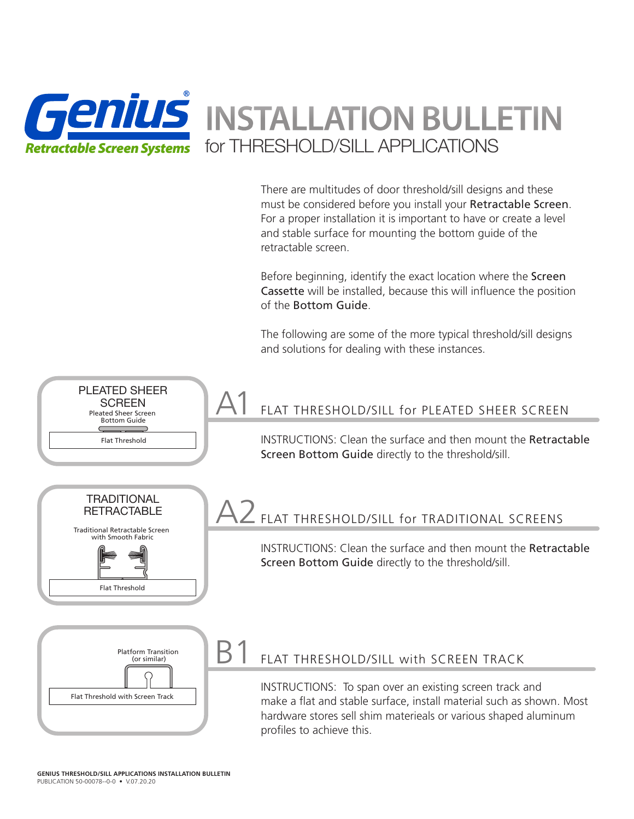

There are multitudes of door threshold/sill designs and these must be considered before you install your Retractable Screen. For a proper installation it is important to have or create a level and stable surface for mounting the bottom guide of the retractable screen.

Before beginning, identify the exact location where the Screen Cassette will be installed, because this will influence the position of the Bottom Guide.

The following are some of the more typical threshold/sill designs and solutions for dealing with these instances.

#### FLAT THRESHOLD/SILL for PLEATED SHEER SCREEN A1

INSTRUCTIONS: Clean the surface and then mount the Retractable Screen Bottom Guide directly to the threshold/sill.



Flat Threshold

Pleated Sheer Screen Bottom Guide Flat Threshold

PLEATED SHEER **SCREEN** 

# A2 FLAT THRESHOLD/SILL for TRADITIONAL SCREENS

INSTRUCTIONS: Clean the surface and then mount the Retractable Screen Bottom Guide directly to the threshold/sill.



### FLAT THRESHOLD/SILL with SCREEN TRACK

INSTRUCTIONS: To span over an existing screen track and make a flat and stable surface, install material such as shown. Most hardware stores sell shim materieals or various shaped aluminum profiles to achieve this.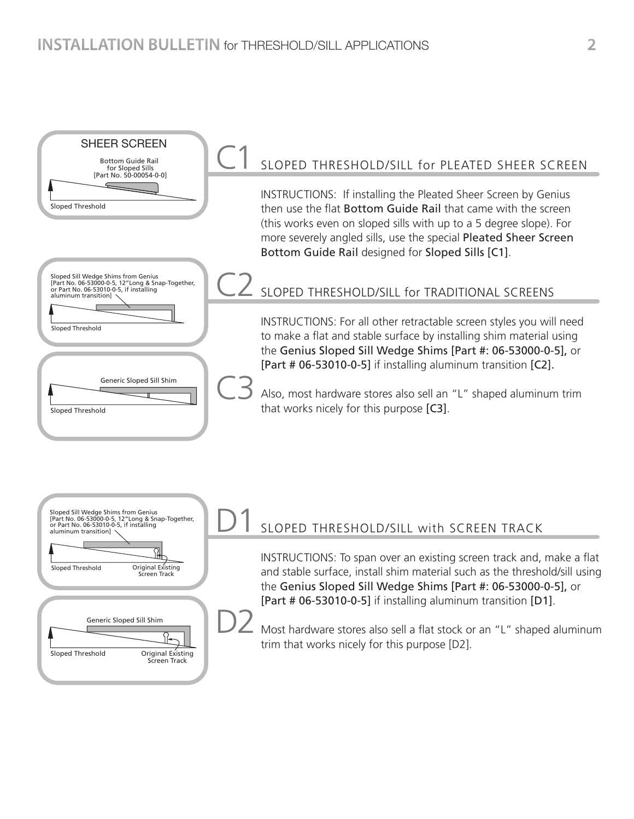#### SLOPED THRESHOLD/SILL for PLEATED SHEER SCREEN INSTRUCTIONS: If installing the Pleated Sheer Screen by Genius then use the flat Bottom Guide Rail that came with the screen (this works even on sloped sills with up to a 5 degree slope). For more severely angled sills, use the special Pleated Sheer Screen Bottom Guide Rail designed for Sloped Sills [C1]. SLOPED THRESHOLD/SILL for TRADITIONAL SCREENS INSTRUCTIONS: For all other retractable screen styles you will need to make a flat and stable surface by installing shim material using the Genius Sloped Sill Wedge Shims [Part #: 06-53000-0-5], or [Part # 06-53010-0-5] if installing aluminum transition [C2]. Also, most hardware stores also sell an "L" shaped aluminum trim that works nicely for this purpose [C3]. C1 C2 C3 Bottom Guide Rail for Sloped Sills [Part No. 50-00054-0-0] Sloped Threshold Sloped Sill Wedge Shims from Genius [Part No. 06-53000-0-5, 12"Long & Snap-Together, or Part No. 06-53010-0-5, if installing aluminum transition] Sloped Threshold Generic Sloped Sill Shim Sloped Threshold SHEER SCREEN



## SLOPED THRESHOLD/SILL with SCREEN TRACK

INSTRUCTIONS: To span over an existing screen track and, make a flat and stable surface, install shim material such as the threshold/sill using the Genius Sloped Sill Wedge Shims [Part #: 06-53000-0-5], or [Part # 06-53010-0-5] if installing aluminum transition [D1].

Most hardware stores also sell a flat stock or an "L" shaped aluminum trim that works nicely for this purpose [D2].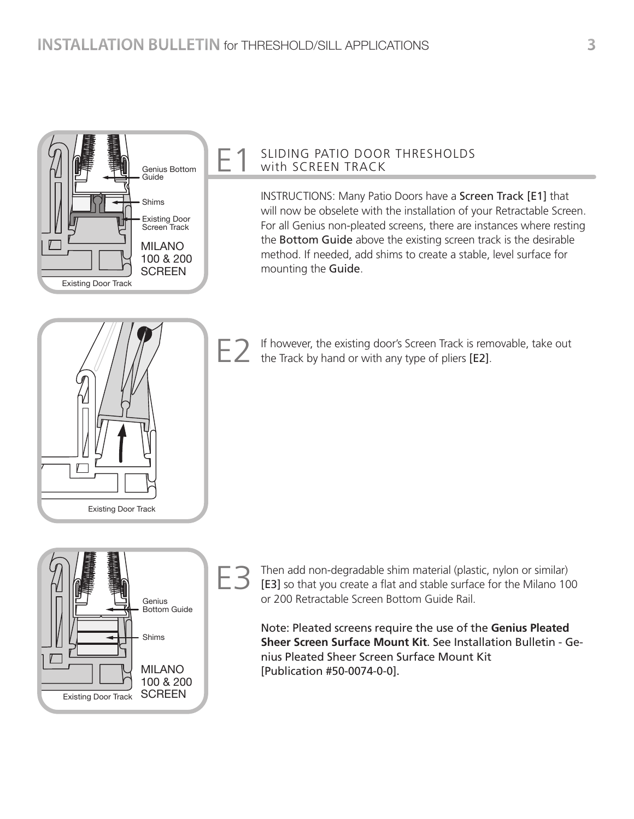

#### SLIDING PATIO DOOR THRESHOLDS with SCREEN TRACK

INSTRUCTIONS: Many Patio Doors have a Screen Track [E1] that will now be obselete with the installation of your Retractable Screen. For all Genius non-pleated screens, there are instances where resting the Bottom Guide above the existing screen track is the desirable method. If needed, add shims to create a stable, level surface for mounting the Guide.



If however, the existing door's Screen Track is removable, take out E 2 If however, the existing door's Screen Track is rem<br>the Track by hand or with any type of pliers [E2].



Then add non-degradable shim material (plastic, nylon or similar) [E3] so that you create a flat and stable surface for the Milano 100 or 200 Retractable Screen Bottom Guide Rail.

Note: Pleated screens require the use of the **Genius Pleated Sheer Screen Surface Mount Kit**. See Installation Bulletin - Genius Pleated Sheer Screen Surface Mount Kit [Publication #50-0074-0-0].